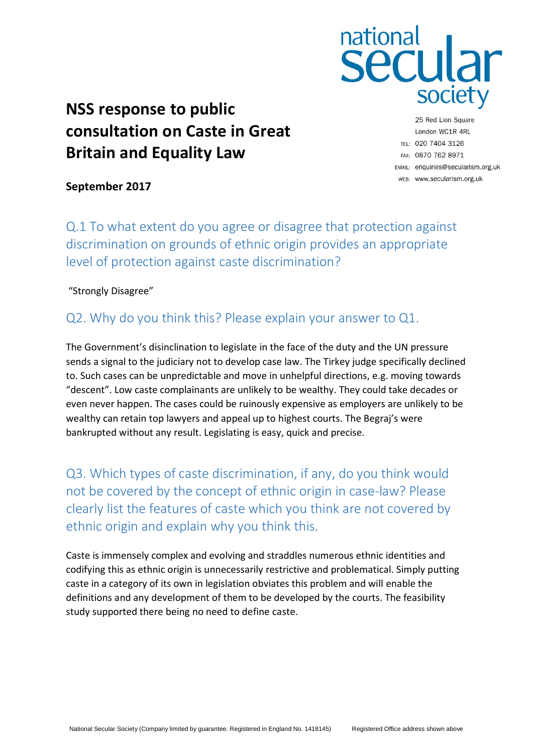

# **NSS response to public consultation on Caste in Great Britain and Equality Law**

25 Red Lion Square London WC1R 4RL TEL: 020 7404 3126 FAX: 0870 762 8971 EMAIL: enquiries@secularism.org.uk WEB: www.secularism.org.uk

**September 2017**

Q.1 To what extent do you agree or disagree that protection against discrimination on grounds of ethnic origin provides an appropriate level of protection against caste discrimination?

"Strongly Disagree"

### Q2. Why do you think this? Please explain your answer to Q1.

The Government's disinclination to legislate in the face of the duty and the UN pressure sends a signal to the judiciary not to develop case law. The Tirkey judge specifically declined to. Such cases can be unpredictable and move in unhelpful directions, e.g. moving towards "descent". Low caste complainants are unlikely to be wealthy. They could take decades or even never happen. The cases could be ruinously expensive as employers are unlikely to be wealthy can retain top lawyers and appeal up to highest courts. The Begraj's were bankrupted without any result. Legislating is easy, quick and precise.

Q3. Which types of caste discrimination, if any, do you think would not be covered by the concept of ethnic origin in case-law? Please clearly list the features of caste which you think are not covered by ethnic origin and explain why you think this.

Caste is immensely complex and evolving and straddles numerous ethnic identities and codifying this as ethnic origin is unnecessarily restrictive and problematical. Simply putting caste in a category of its own in legislation obviates this problem and will enable the definitions and any development of them to be developed by the courts. The feasibility study supported there being no need to define caste.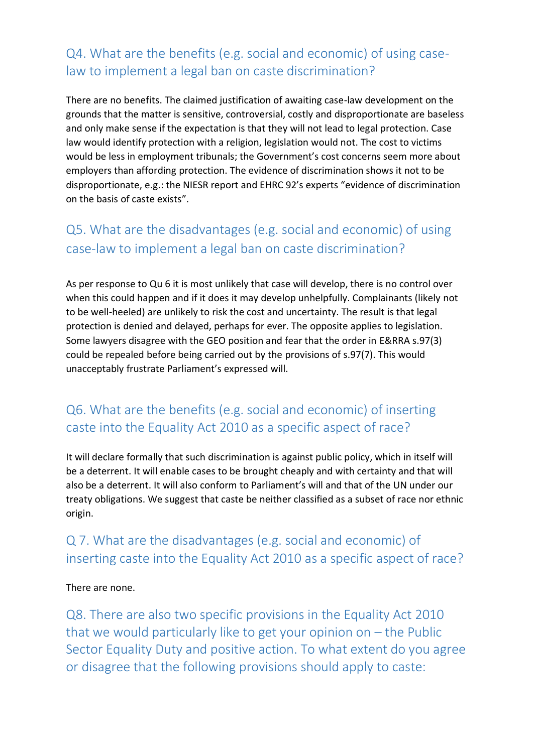### Q4. What are the benefits (e.g. social and economic) of using caselaw to implement a legal ban on caste discrimination?

There are no benefits. The claimed justification of awaiting case-law development on the grounds that the matter is sensitive, controversial, costly and disproportionate are baseless and only make sense if the expectation is that they will not lead to legal protection. Case law would identify protection with a religion, legislation would not. The cost to victims would be less in employment tribunals; the Government's cost concerns seem more about employers than affording protection. The evidence of discrimination shows it not to be disproportionate, e.g.: the NIESR report and EHRC 92's experts "evidence of discrimination on the basis of caste exists".

# Q5. What are the disadvantages (e.g. social and economic) of using case-law to implement a legal ban on caste discrimination?

As per response to Qu 6 it is most unlikely that case will develop, there is no control over when this could happen and if it does it may develop unhelpfully. Complainants (likely not to be well-heeled) are unlikely to risk the cost and uncertainty. The result is that legal protection is denied and delayed, perhaps for ever. The opposite applies to legislation. Some lawyers disagree with the GEO position and fear that the order in E&RRA s.97(3) could be repealed before being carried out by the provisions of s.97(7). This would unacceptably frustrate Parliament's expressed will.

### Q6. What are the benefits (e.g. social and economic) of inserting caste into the Equality Act 2010 as a specific aspect of race?

It will declare formally that such discrimination is against public policy, which in itself will be a deterrent. It will enable cases to be brought cheaply and with certainty and that will also be a deterrent. It will also conform to Parliament's will and that of the UN under our treaty obligations. We suggest that caste be neither classified as a subset of race nor ethnic origin.

### Q 7. What are the disadvantages (e.g. social and economic) of inserting caste into the Equality Act 2010 as a specific aspect of race?

#### There are none.

Q8. There are also two specific provisions in the Equality Act 2010 that we would particularly like to get your opinion on – the Public Sector Equality Duty and positive action. To what extent do you agree or disagree that the following provisions should apply to caste: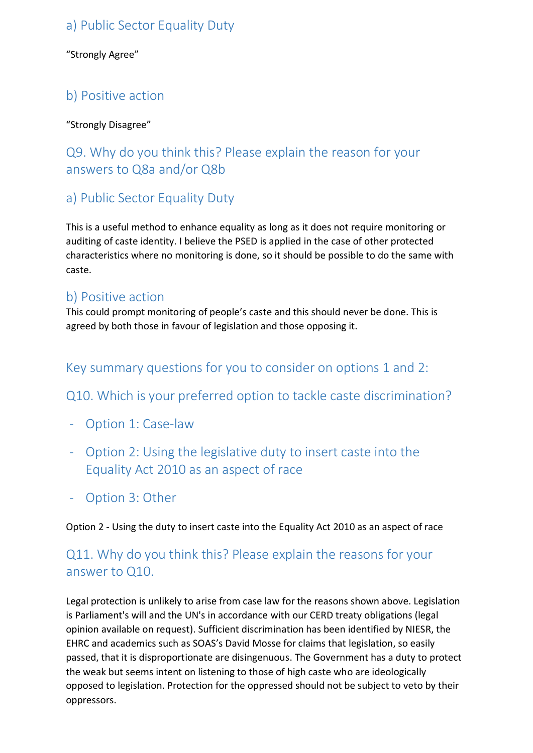### a) Public Sector Equality Duty

"Strongly Agree"

### b) Positive action

#### "Strongly Disagree"

# Q9. Why do you think this? Please explain the reason for your answers to Q8a and/or Q8b

# a) Public Sector Equality Duty

This is a useful method to enhance equality as long as it does not require monitoring or auditing of caste identity. I believe the PSED is applied in the case of other protected characteristics where no monitoring is done, so it should be possible to do the same with caste.

### b) Positive action

This could prompt monitoring of people's caste and this should never be done. This is agreed by both those in favour of legislation and those opposing it.

### Key summary questions for you to consider on options 1 and 2:

### Q10. Which is your preferred option to tackle caste discrimination?

- Option 1: Case-law
- Option 2: Using the legislative duty to insert caste into the Equality Act 2010 as an aspect of race
- Option 3: Other

Option 2 - Using the duty to insert caste into the Equality Act 2010 as an aspect of race

### Q11. Why do you think this? Please explain the reasons for your answer to Q10.

Legal protection is unlikely to arise from case law for the reasons shown above. Legislation is Parliament's will and the UN's in accordance with our CERD treaty obligations (legal opinion available on request). Sufficient discrimination has been identified by NIESR, the EHRC and academics such as SOAS's David Mosse for claims that legislation, so easily passed, that it is disproportionate are disingenuous. The Government has a duty to protect the weak but seems intent on listening to those of high caste who are ideologically opposed to legislation. Protection for the oppressed should not be subject to veto by their oppressors.